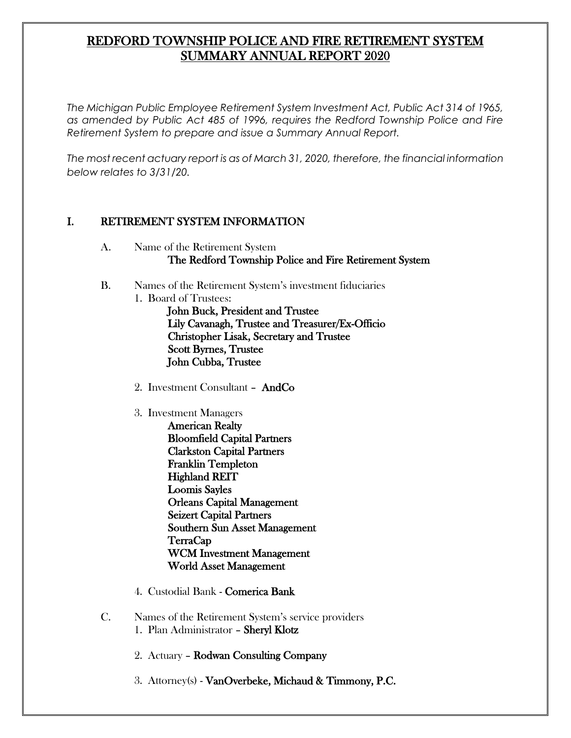# REDFORD TOWNSHIP POLICE AND FIRE RETIREMENT SYSTEM SUMMARY ANNUAL REPORT 2020

*The Michigan Public Employee Retirement System Investment Act, Public Act 314 of 1965, as amended by Public Act 485 of 1996, requires the Redford Township Police and Fire Retirement System to prepare and issue a Summary Annual Report.* 

*The most recent actuary report is as of March 31, 2020, therefore, the financial information below relates to 3/31/20.* 

#### I. RETIREMENT SYSTEM INFORMATION

- A. Name of the Retirement System The Redford Township Police and Fire Retirement System
- B. Names of the Retirement System's investment fiduciaries
	- 1. Board of Trustees: John Buck, President and Trustee Lily Cavanagh, Trustee and Treasurer/Ex-Officio Christopher Lisak, Secretary and Trustee Scott Byrnes, Trustee John Cubba, Trustee
		- 2. Investment Consultant AndCo
		- 3. Investment Managers
			- American Realty Bloomfield Capital Partners Clarkston Capital Partners Franklin Templeton Highland REIT Loomis Sayles Orleans Capital Management Seizert Capital Partners Southern Sun Asset Management TerraCap WCM Investment Management World Asset Management
		- 4. Custodial Bank Comerica Bank
- C. Names of the Retirement System's service providers 1. Plan Administrator – Sheryl Klotz
	- 2. Actuary Rodwan Consulting Company
	- 3. Attorney(s) VanOverbeke, Michaud & Timmony, P.C.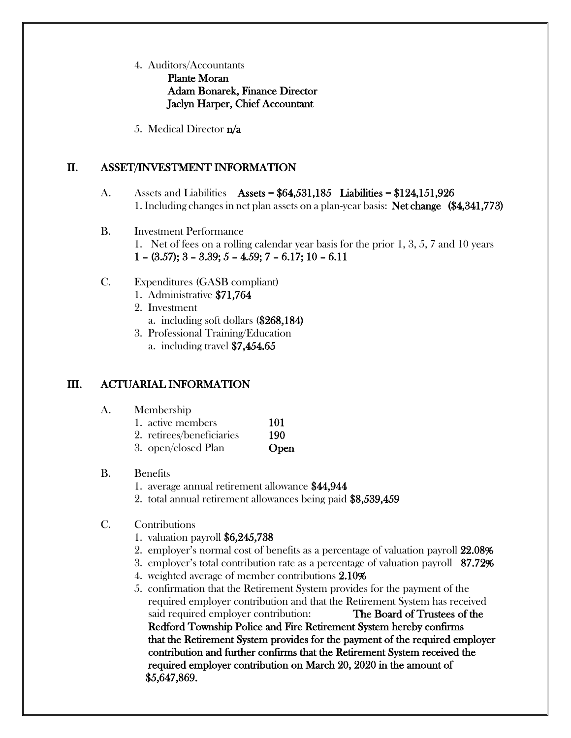#### 4. Auditors/Accountants Plante Moran Adam Bonarek, Finance Director Jaclyn Harper, Chief Accountant

5. Medical Director n/a

## II. ASSET/INVESTMENT INFORMATION

- A. Assets and Liabilities Assets = \$64,531,185 Liabilities = \$124,151,926 1. Including changes in net plan assets on a plan-year basis: Net change (\$4,341,773)
- B. Investment Performance 1. Net of fees on a rolling calendar year basis for the prior 1, 3, 5, 7 and 10 years  $1 - (3.57); 3 - 3.39; 5 - 4.59; 7 - 6.17; 10 - 6.11$
- C. Expenditures (GASB compliant)
	- 1. Administrative \$71,764
	- 2. Investment
		- a. including soft dollars (\$268,184)
	- 3. Professional Training/Education a. including travel \$7,454.65

## III. ACTUARIAL INFORMATION

- A. Membership
	- 1. active members 101
	- 2. retirees/beneficiaries 190
	- 3. open/closed Plan **Open**
- B. Benefits
	- 1. average annual retirement allowance \$44,944
	- 2. total annual retirement allowances being paid \$8,539,459
- C. Contributions
	- 1. valuation payroll \$6,245,738
	- 2. employer's normal cost of benefits as a percentage of valuation payroll 22.08%
	- 3. employer's total contribution rate as a percentage of valuation payroll 87.72%
	- 4. weighted average of member contributions 2.10%
	- 5. confirmation that the Retirement System provides for the payment of the required employer contribution and that the Retirement System has received said required employer contribution: The Board of Trustees of the Redford Township Police and Fire Retirement System hereby confirms that the Retirement System provides for the payment of the required employer contribution and further confirms that the Retirement System received the required employer contribution on March 20, 2020 in the amount of \$5,647,869.